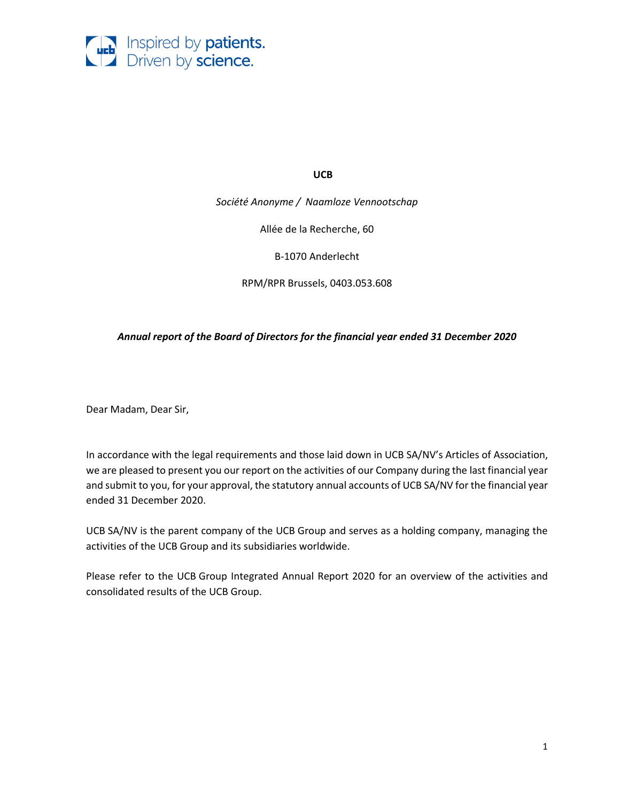

**UCB** 

*Société Anonyme / [Naamloze Vennootschap](http://traduction.sensagent.com/naamloze%20vennootschap/nl-nl/)*

Allée de la Recherche, 60

B-1070 Anderlecht

RPM/RPR Brussels, 0403.053.608

### *Annual report of the Board of Directors for the financial year ended 31 December 2020*

Dear Madam, Dear Sir,

In accordance with the legal requirements and those laid down in UCB SA/NV's Articles of Association, we are pleased to present you our report on the activities of our Company during the last financial year and submit to you, for your approval, the statutory annual accounts of UCB SA/NV for the financial year ended 31 December 2020.

UCB SA/NV is the parent company of the UCB Group and serves as a holding company, managing the activities of the UCB Group and its subsidiaries worldwide.

Please refer to the UCB Group Integrated Annual Report 2020 for an overview of the activities and consolidated results of the UCB Group.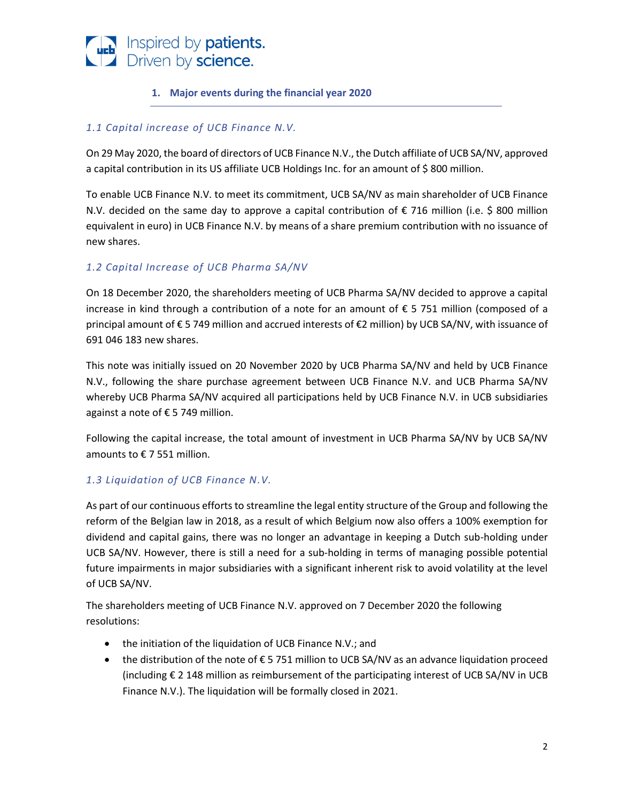

# **1. Major events during the financial year 2020**

# *1.1 Capital increase of UCB Finance N.V.*

On 29 May 2020, the board of directors of UCB Finance N.V., the Dutch affiliate of UCB SA/NV, approved a capital contribution in its US affiliate UCB Holdings Inc. for an amount of \$ 800 million.

To enable UCB Finance N.V. to meet its commitment, UCB SA/NV as main shareholder of UCB Finance N.V. decided on the same day to approve a capital contribution of € 716 million (i.e. \$ 800 million equivalent in euro) in UCB Finance N.V. by means of a share premium contribution with no issuance of new shares.

# *1.2 Capital Increase of UCB Pharma SA/NV*

On 18 December 2020, the shareholders meeting of UCB Pharma SA/NV decided to approve a capital increase in kind through a contribution of a note for an amount of € 5 751 million (composed of a principal amount of € 5 749 million and accrued interests of €2 million) by UCB SA/NV, with issuance of 691 046 183 new shares.

This note was initially issued on 20 November 2020 by UCB Pharma SA/NV and held by UCB Finance N.V., following the share purchase agreement between UCB Finance N.V. and UCB Pharma SA/NV whereby UCB Pharma SA/NV acquired all participations held by UCB Finance N.V. in UCB subsidiaries against a note of € 5 749 million.

Following the capital increase, the total amount of investment in UCB Pharma SA/NV by UCB SA/NV amounts to € 7 551 million.

# *1.3 Liquidation of UCB Finance N.V.*

As part of our continuous efforts to streamline the legal entity structure of the Group and following the reform of the Belgian law in 2018, as a result of which Belgium now also offers a 100% exemption for dividend and capital gains, there was no longer an advantage in keeping a Dutch sub-holding under UCB SA/NV. However, there is still a need for a sub-holding in terms of managing possible potential future impairments in major subsidiaries with a significant inherent risk to avoid volatility at the level of UCB SA/NV.

The shareholders meeting of UCB Finance N.V. approved on 7 December 2020 the following resolutions:

- the initiation of the liquidation of UCB Finance N.V.; and
- the distribution of the note of  $\epsilon$  5 751 million to UCB SA/NV as an advance liquidation proceed (including  $\epsilon$  2 148 million as reimbursement of the participating interest of UCB SA/NV in UCB Finance N.V.). The liquidation will be formally closed in 2021.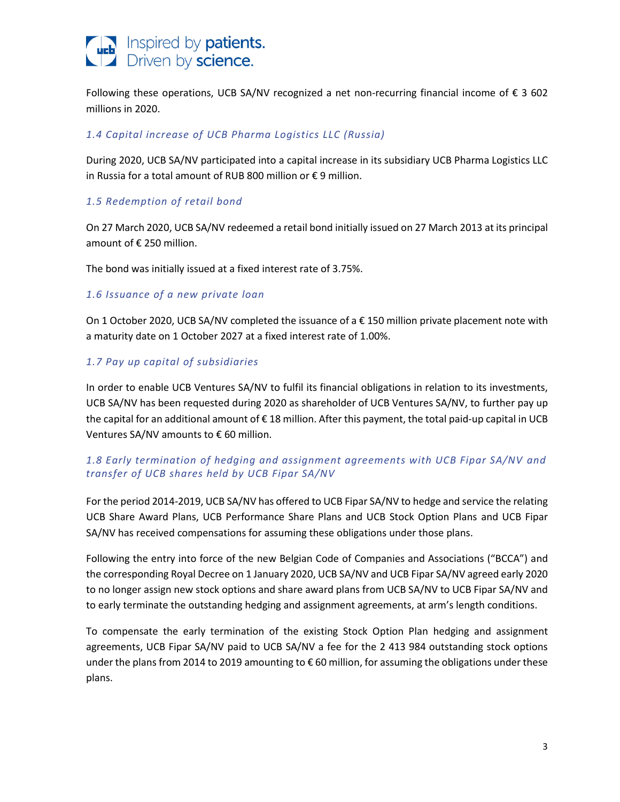

Following these operations, UCB SA/NV recognized a net non-recurring financial income of  $\epsilon$  3 602 millions in 2020.

# *1.4 Capital increase of UCB Pharma Logistics LLC (Russia)*

During 2020, UCB SA/NV participated into a capital increase in its subsidiary UCB Pharma Logistics LLC in Russia for a total amount of RUB 800 million or € 9 million.

## *1.5 Redemption of retail bond*

On 27 March 2020, UCB SA/NV redeemed a retail bond initially issued on 27 March 2013 at its principal amount of € 250 million.

The bond was initially issued at a fixed interest rate of 3.75%.

## *1.6 Issuance of a new private loan*

On 1 October 2020, UCB SA/NV completed the issuance of a € 150 million private placement note with a maturity date on 1 October 2027 at a fixed interest rate of 1.00%.

# *1.7 Pay up capital of subsidiaries*

In order to enable UCB Ventures SA/NV to fulfil its financial obligations in relation to its investments, UCB SA/NV has been requested during 2020 as shareholder of UCB Ventures SA/NV, to further pay up the capital for an additional amount of  $\epsilon$  18 million. After this payment, the total paid-up capital in UCB Ventures SA/NV amounts to € 60 million.

# *1.8 Early termination of hedging and assignment agreements with UCB Fipar SA/NV and transfer of UCB shares held by UCB Fipar SA/NV*

For the period 2014-2019, UCB SA/NV has offered to UCB Fipar SA/NV to hedge and service the relating UCB Share Award Plans, UCB Performance Share Plans and UCB Stock Option Plans and UCB Fipar SA/NV has received compensations for assuming these obligations under those plans.

Following the entry into force of the new Belgian Code of Companies and Associations ("BCCA") and the corresponding Royal Decree on 1 January 2020, UCB SA/NV and UCB Fipar SA/NV agreed early 2020 to no longer assign new stock options and share award plans from UCB SA/NV to UCB Fipar SA/NV and to early terminate the outstanding hedging and assignment agreements, at arm's length conditions.

To compensate the early termination of the existing Stock Option Plan hedging and assignment agreements, UCB Fipar SA/NV paid to UCB SA/NV a fee for the 2 413 984 outstanding stock options under the plans from 2014 to 2019 amounting to € 60 million, for assuming the obligations under these plans.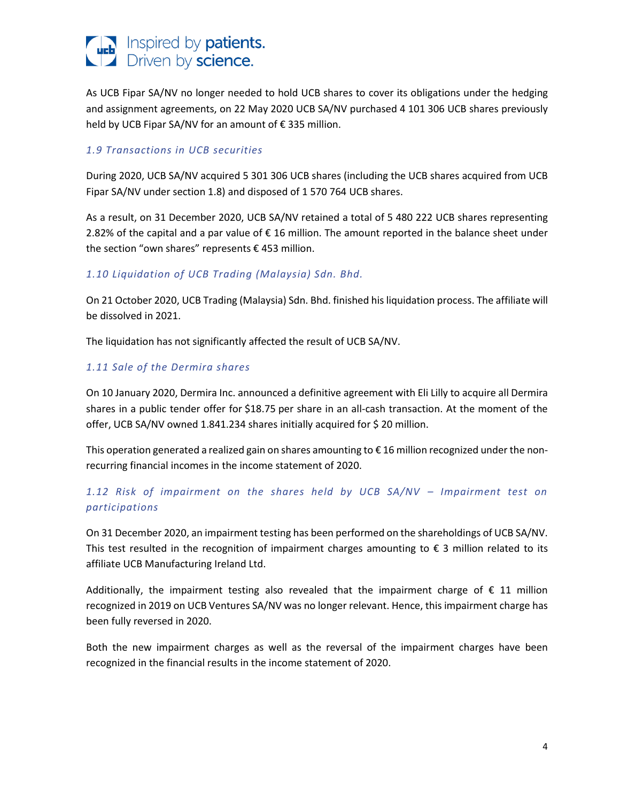

As UCB Fipar SA/NV no longer needed to hold UCB shares to cover its obligations under the hedging and assignment agreements, on 22 May 2020 UCB SA/NV purchased 4 101 306 UCB shares previously held by UCB Fipar SA/NV for an amount of € 335 million.

## *1.9 Transactions in UCB securities*

During 2020, UCB SA/NV acquired 5 301 306 UCB shares (including the UCB shares acquired from UCB Fipar SA/NV under section 1.8) and disposed of 1 570 764 UCB shares.

As a result, on 31 December 2020, UCB SA/NV retained a total of 5 480 222 UCB shares representing 2.82% of the capital and a par value of € 16 million. The amount reported in the balance sheet under the section "own shares" represents € 453 million.

## *1.10 Liquidation of UCB Trading (Malaysia) Sdn. Bhd.*

On 21 October 2020, UCB Trading (Malaysia) Sdn. Bhd. finished his liquidation process. The affiliate will be dissolved in 2021.

The liquidation has not significantly affected the result of UCB SA/NV.

## *1.11 Sale of the Dermira shares*

On 10 January 2020, Dermira Inc. announced a definitive agreement with Eli Lilly to acquire all Dermira shares in a public tender offer for \$18.75 per share in an all-cash transaction. At the moment of the offer, UCB SA/NV owned 1.841.234 shares initially acquired for \$ 20 million.

This operation generated a realized gain on shares amounting to  $\epsilon$  16 million recognized under the nonrecurring financial incomes in the income statement of 2020.

# 1.12 Risk of impairment on the shares held by UCB SA/NV – Impairment test on *participations*

On 31 December 2020, an impairment testing has been performed on the shareholdings of UCB SA/NV. This test resulted in the recognition of impairment charges amounting to  $\epsilon$  3 million related to its affiliate UCB Manufacturing Ireland Ltd.

Additionally, the impairment testing also revealed that the impairment charge of  $\epsilon$  11 million recognized in 2019 on UCB Ventures SA/NV was no longer relevant. Hence, this impairment charge has been fully reversed in 2020.

Both the new impairment charges as well as the reversal of the impairment charges have been recognized in the financial results in the income statement of 2020.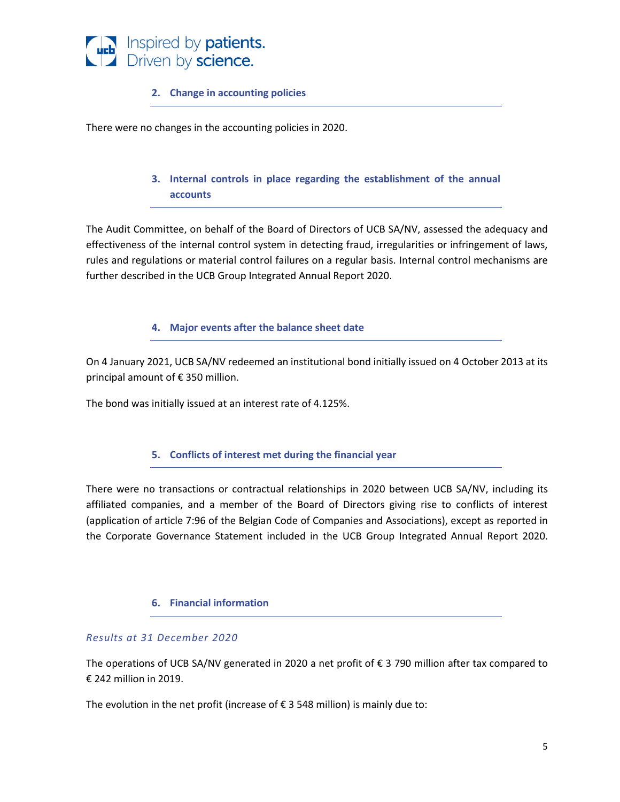

## **2. Change in accounting policies**

There were no changes in the accounting policies in 2020.

# **3. Internal controls in place regarding the establishment of the annual accounts**

The Audit Committee, on behalf of the Board of Directors of UCB SA/NV, assessed the adequacy and effectiveness of the internal control system in detecting fraud, irregularities or infringement of laws, rules and regulations or material control failures on a regular basis. Internal control mechanisms are further described in the UCB Group Integrated Annual Report 2020.

### **4. Major events after the balance sheet date**

On 4 January 2021, UCB SA/NV redeemed an institutional bond initially issued on 4 October 2013 at its principal amount of € 350 million.

The bond was initially issued at an interest rate of 4.125%.

### **5. Conflicts of interest met during the financial year**

There were no transactions or contractual relationships in 2020 between UCB SA/NV, including its affiliated companies, and a member of the Board of Directors giving rise to conflicts of interest (application of article 7:96 of the Belgian Code of Companies and Associations), except as reported in the Corporate Governance Statement included in the UCB Group Integrated Annual Report 2020.

### **6. Financial information**

### *Results at 31 December 2020*

The operations of UCB SA/NV generated in 2020 a net profit of  $\epsilon$  3 790 million after tax compared to € 242 million in 2019.

The evolution in the net profit (increase of  $\epsilon$  3 548 million) is mainly due to: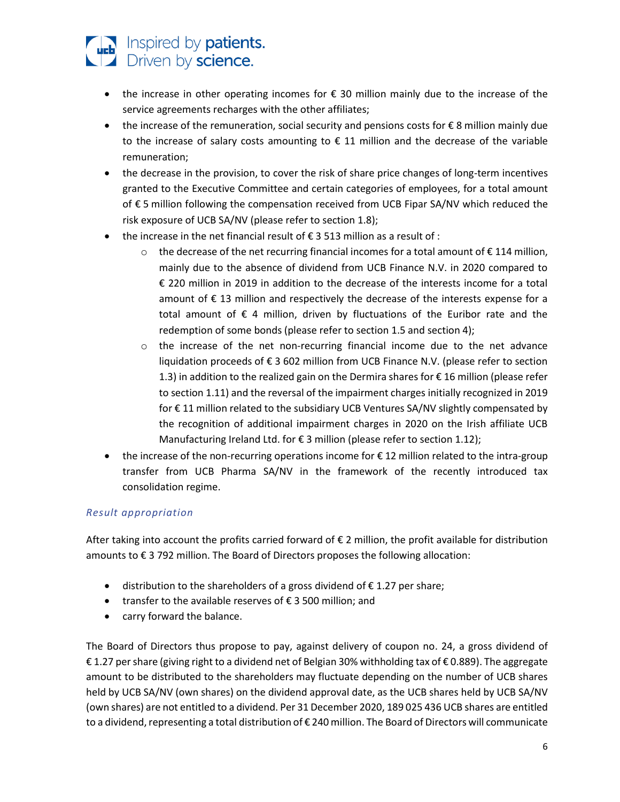

- the increase in other operating incomes for € 30 million mainly due to the increase of the service agreements recharges with the other affiliates;
- the increase of the remuneration, social security and pensions costs for € 8 million mainly due to the increase of salary costs amounting to  $\epsilon$  11 million and the decrease of the variable remuneration;
- the decrease in the provision, to cover the risk of share price changes of long-term incentives granted to the Executive Committee and certain categories of employees, for a total amount of € 5 million following the compensation received from UCB Fipar SA/NV which reduced the risk exposure of UCB SA/NV (please refer to section 1.8);
- the increase in the net financial result of  $\epsilon$  3 513 million as a result of :
	- $\circ$  the decrease of the net recurring financial incomes for a total amount of  $\epsilon$  114 million, mainly due to the absence of dividend from UCB Finance N.V. in 2020 compared to € 220 million in 2019 in addition to the decrease of the interests income for a total amount of € 13 million and respectively the decrease of the interests expense for a total amount of € 4 million, driven by fluctuations of the Euribor rate and the redemption of some bonds (please refer to section 1.5 and section 4);
	- o the increase of the net non-recurring financial income due to the net advance liquidation proceeds of € 3 602 million from UCB Finance N.V. (please refer to section 1.3) in addition to the realized gain on the Dermira shares for € 16 million (please refer to section 1.11) and the reversal of the impairment charges initially recognized in 2019 for € 11 million related to the subsidiary UCB Ventures SA/NV slightly compensated by the recognition of additional impairment charges in 2020 on the Irish affiliate UCB Manufacturing Ireland Ltd. for € 3 million (please refer to section 1.12);
- the increase of the non-recurring operations income for €12 million related to the intra-group transfer from UCB Pharma SA/NV in the framework of the recently introduced tax consolidation regime.

# *Result appropriation*

After taking into account the profits carried forward of € 2 million, the profit available for distribution amounts to € 3 792 million. The Board of Directors proposes the following allocation:

- distribution to the shareholders of a gross dividend of  $\epsilon$  1.27 per share;
- transfer to the available reserves of € 3 500 million; and
- carry forward the balance.

The Board of Directors thus propose to pay, against delivery of coupon no. 24, a gross dividend of € 1.27 per share (giving right to a dividend net of Belgian 30% withholding tax of € 0.889). The aggregate amount to be distributed to the shareholders may fluctuate depending on the number of UCB shares held by UCB SA/NV (own shares) on the dividend approval date, as the UCB shares held by UCB SA/NV (own shares) are not entitled to a dividend. Per 31 December 2020, 189 025 436 UCB shares are entitled to a dividend, representing a total distribution of € 240 million. The Board of Directors will communicate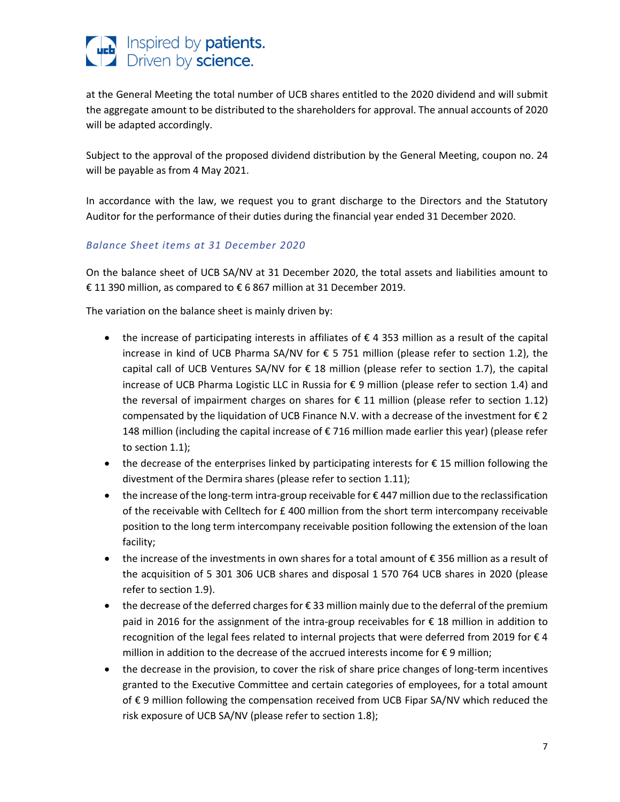

at the General Meeting the total number of UCB shares entitled to the 2020 dividend and will submit the aggregate amount to be distributed to the shareholders for approval. The annual accounts of 2020 will be adapted accordingly.

Subject to the approval of the proposed dividend distribution by the General Meeting, coupon no. 24 will be payable as from 4 May 2021.

In accordance with the law, we request you to grant discharge to the Directors and the Statutory Auditor for the performance of their duties during the financial year ended 31 December 2020.

# *Balance Sheet items at 31 December 2020*

On the balance sheet of UCB SA/NV at 31 December 2020, the total assets and liabilities amount to € 11 390 million, as compared to € 6 867 million at 31 December 2019.

The variation on the balance sheet is mainly driven by:

- the increase of participating interests in affiliates of € 4 353 million as a result of the capital increase in kind of UCB Pharma SA/NV for € 5 751 million (please refer to section 1.2), the capital call of UCB Ventures SA/NV for  $\epsilon$  18 million (please refer to section 1.7), the capital increase of UCB Pharma Logistic LLC in Russia for € 9 million (please refer to section 1.4) and the reversal of impairment charges on shares for  $\epsilon$  11 million (please refer to section 1.12) compensated by the liquidation of UCB Finance N.V. with a decrease of the investment for  $\epsilon$  2 148 million (including the capital increase of € 716 million made earlier this year) (please refer to section 1.1);
- the decrease of the enterprises linked by participating interests for  $\epsilon$  15 million following the divestment of the Dermira shares (please refer to section 1.11);
- the increase of the long-term intra-group receivable for €447 million due to the reclassification of the receivable with Celltech for £ 400 million from the short term intercompany receivable position to the long term intercompany receivable position following the extension of the loan facility;
- the increase of the investments in own shares for a total amount of € 356 million as a result of the acquisition of 5 301 306 UCB shares and disposal 1 570 764 UCB shares in 2020 (please refer to section 1.9).
- the decrease of the deferred charges for  $\epsilon$  33 million mainly due to the deferral of the premium paid in 2016 for the assignment of the intra-group receivables for € 18 million in addition to recognition of the legal fees related to internal projects that were deferred from 2019 for € 4 million in addition to the decrease of the accrued interests income for € 9 million;
- the decrease in the provision, to cover the risk of share price changes of long-term incentives granted to the Executive Committee and certain categories of employees, for a total amount of € 9 million following the compensation received from UCB Fipar SA/NV which reduced the risk exposure of UCB SA/NV (please refer to section 1.8);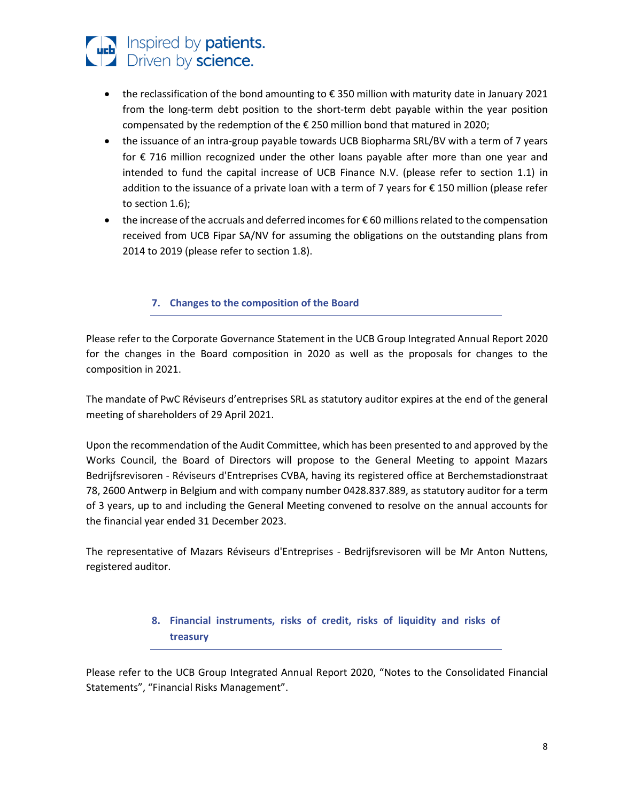

- the reclassification of the bond amounting to € 350 million with maturity date in January 2021 from the long-term debt position to the short-term debt payable within the year position compensated by the redemption of the € 250 million bond that matured in 2020;
- the issuance of an intra-group payable towards UCB Biopharma SRL/BV with a term of 7 years for  $\epsilon$  716 million recognized under the other loans payable after more than one year and intended to fund the capital increase of UCB Finance N.V. (please refer to section 1.1) in addition to the issuance of a private loan with a term of 7 years for € 150 million (please refer to section 1.6);
- the increase of the accruals and deferred incomes for € 60 millions related to the compensation received from UCB Fipar SA/NV for assuming the obligations on the outstanding plans from 2014 to 2019 (please refer to section 1.8).

# **7. Changes to the composition of the Board**

Please refer to the Corporate Governance Statement in the UCB Group Integrated Annual Report 2020 for the changes in the Board composition in 2020 as well as the proposals for changes to the composition in 2021.

The mandate of PwC Réviseurs d'entreprises SRL as statutory auditor expires at the end of the general meeting of shareholders of 29 April 2021.

Upon the recommendation of the Audit Committee, which has been presented to and approved by the Works Council, the Board of Directors will propose to the General Meeting to appoint Mazars Bedrijfsrevisoren - Réviseurs d'Entreprises CVBA, having its registered office at Berchemstadionstraat 78, 2600 Antwerp in Belgium and with company number 0428.837.889, as statutory auditor for a term of 3 years, up to and including the General Meeting convened to resolve on the annual accounts for the financial year ended 31 December 2023.

The representative of Mazars Réviseurs d'Entreprises - Bedrijfsrevisoren will be Mr Anton Nuttens, registered auditor.

# **8. Financial instruments, risks of credit, risks of liquidity and risks of treasury**

Please refer to the UCB Group Integrated Annual Report 2020, "Notes to the Consolidated Financial Statements", "Financial Risks Management".